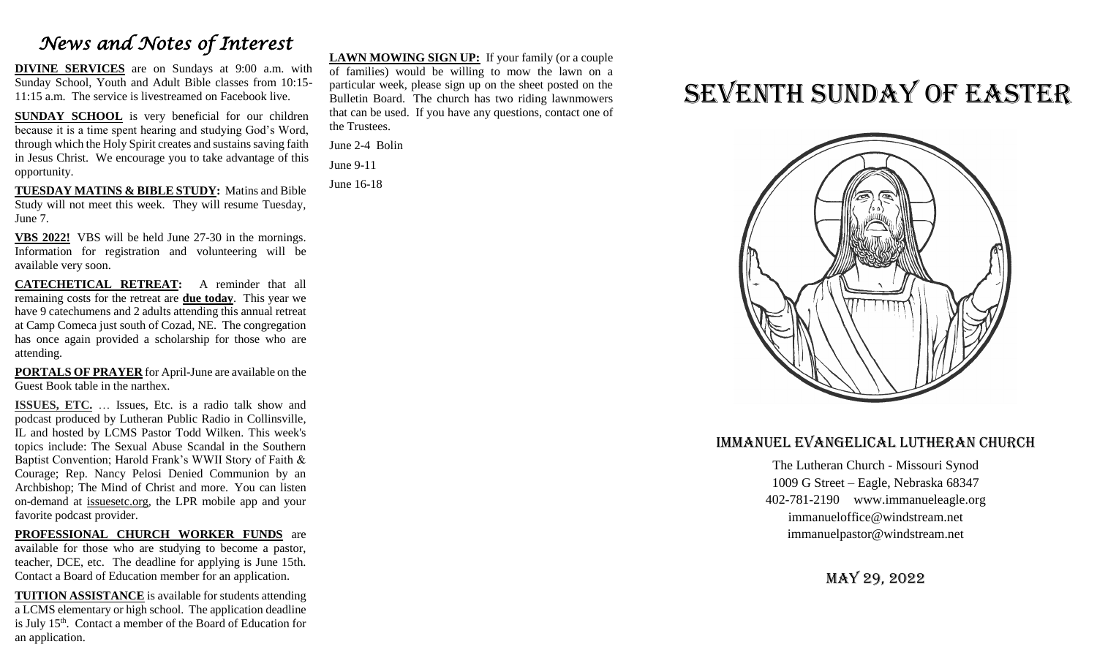## *News and Notes of Interest*

**DIVINE SERVICES** are on Sundays at 9:00 a.m. with Sunday School, Youth and Adult Bible classes from 10:15- 11:15 a.m. The service is livestreamed on Facebook live.

**SUNDAY SCHOOL** is very beneficial for our children because it is a time spent hearing and studying God's Word, through which the Holy Spirit creates and sustains saving faith in Jesus Christ. We encourage you to take advantage of this opportunity.

**TUESDAY MATINS & BIBLE STUDY:** Matins and Bible Study will not meet this week. They will resume Tuesday, June 7.

**VBS 2022!** VBS will be held June 27-30 in the mornings. Information for registration and volunteering will be available very soon.

**CATECHETICAL RETREAT:** A reminder that all remaining costs for the retreat are **due today**. This year we have 9 catechumens and 2 adults attending this annual retreat at Camp Comeca just south of Cozad, NE. The congregation has once again provided a scholarship for those who are attending.

**PORTALS OF PRAYER** for April-June are available on the Guest Book table in the narthex.

**ISSUES, ETC.** … Issues, Etc. is a radio talk show and podcast produced by Lutheran Public Radio in Collinsville, IL and hosted by LCMS Pastor Todd Wilken. This week's topics include: The Sexual Abuse Scandal in the Southern Baptist Convention; Harold Frank's WWII Story of Faith & Courage; Rep. Nancy Pelosi Denied Communion by an Archbishop; The Mind of Christ and more. You can listen on-demand at [issuesetc.org,](http://r20.rs6.net/tn.jsp?f=001XltHUglAGihDwKg2LCVDVVAySCwUycj-pcDpmmbN6wc1op0BVtNrpeqRkDfWfRAR5HynrRwLD83UqUIEJFPoiyUbb9oq-5NovlALbsX07AGF4oYdP5zeLv9V3GeLojzC1uT1hueIv5zkEmdvlnbsrg==&c=EiyJYE_hckiSK1t9SJM8ARW6CIGIMPcJnNCoGIwRdJwORtvjHVDj6w==&ch=VWkUhocZc5I58mtUGYB_xdpIOWFrqcpl3qqqaxS1LlOA7ypD-yH3kg==) the LPR mobile app and your favorite podcast provider.

**PROFESSIONAL CHURCH WORKER FUNDS** are available for those who are studying to become a pastor, teacher, DCE, etc. The deadline for applying is June 15th. Contact a Board of Education member for an application.

**TUITION ASSISTANCE** is available for students attending a LCMS elementary or high school. The application deadline is July 15<sup>th</sup>. Contact a member of the Board of Education for an application.

**LAWN MOWING SIGN UP:** If your family (or a couple of families) would be willing to mow the lawn on a particular week, please sign up on the sheet posted on the Bulletin Board. The church has two riding lawnmowers that can be used. If you have any questions, contact one of the Trustees.

June 2-4 Bolin June 9-11

June 16-18

# SEVENTH SUNDAY OF EASTER



### Immanuel Evangelical Lutheran Church

The Lutheran Church - Missouri Synod 1009 G Street – Eagle, Nebraska 68347 402-781-2190 www.immanueleagle.org [immanueloffice@windstream.net](mailto:immanueloffice@windstream.net) [immanuelpastor@windstream.net](mailto:immanuelpastor@windstream.net)

May 29, 2022